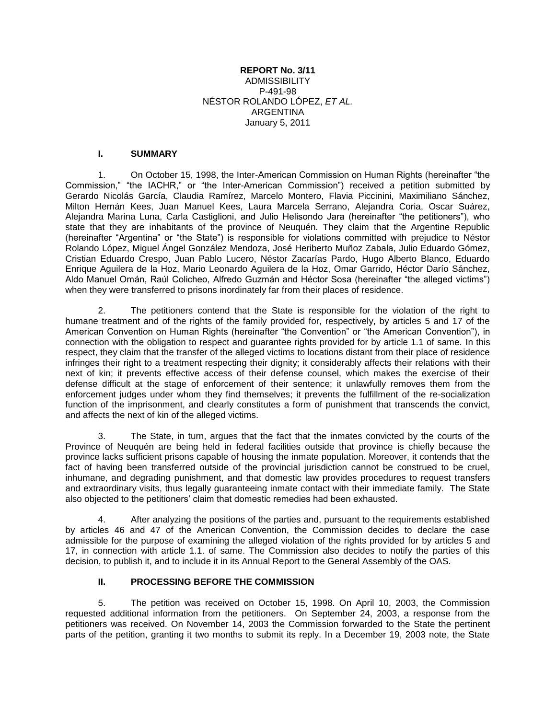#### **REPORT No. 3/11** ADMISSIBILITY P-491-98 NÉSTOR ROLANDO LÓPEZ, *ET AL.* ARGENTINA January 5, 2011

#### **I. SUMMARY**

1. On October 15, 1998, the Inter-American Commission on Human Rights (hereinafter "the Commission," "the IACHR," or "the Inter-American Commission") received a petition submitted by Gerardo Nicolás García, Claudia Ramírez, Marcelo Montero, Flavia Piccinini, Maximiliano Sánchez, Milton Hernán Kees, Juan Manuel Kees, Laura Marcela Serrano, Alejandra Coria, Oscar Suárez, Alejandra Marina Luna, Carla Castiglioni, and Julio Helisondo Jara (hereinafter "the petitioners"), who state that they are inhabitants of the province of Neuquén. They claim that the Argentine Republic (hereinafter "Argentina" or "the State") is responsible for violations committed with prejudice to Néstor Rolando López, Miguel Ángel González Mendoza, José Heriberto Muñoz Zabala, Julio Eduardo Gómez, Cristian Eduardo Crespo, Juan Pablo Lucero, Néstor Zacarías Pardo, Hugo Alberto Blanco, Eduardo Enrique Aguilera de la Hoz, Mario Leonardo Aguilera de la Hoz, Omar Garrido, Héctor Darío Sánchez, Aldo Manuel Omán, Raúl Colicheo, Alfredo Guzmán and Héctor Sosa (hereinafter "the alleged victims") when they were transferred to prisons inordinately far from their places of residence.

2. The petitioners contend that the State is responsible for the violation of the right to humane treatment and of the rights of the family provided for, respectively, by articles 5 and 17 of the American Convention on Human Rights (hereinafter "the Convention" or "the American Convention"), in connection with the obligation to respect and guarantee rights provided for by article 1.1 of same. In this respect, they claim that the transfer of the alleged victims to locations distant from their place of residence infringes their right to a treatment respecting their dignity; it considerably affects their relations with their next of kin; it prevents effective access of their defense counsel, which makes the exercise of their defense difficult at the stage of enforcement of their sentence; it unlawfully removes them from the enforcement judges under whom they find themselves; it prevents the fulfillment of the re-socialization function of the imprisonment, and clearly constitutes a form of punishment that transcends the convict, and affects the next of kin of the alleged victims.

3. The State, in turn, argues that the fact that the inmates convicted by the courts of the Province of Neuquén are being held in federal facilities outside that province is chiefly because the province lacks sufficient prisons capable of housing the inmate population. Moreover, it contends that the fact of having been transferred outside of the provincial jurisdiction cannot be construed to be cruel, inhumane, and degrading punishment, and that domestic law provides procedures to request transfers and extraordinary visits, thus legally guaranteeing inmate contact with their immediate family. The State also objected to the petitioners' claim that domestic remedies had been exhausted.

4. After analyzing the positions of the parties and, pursuant to the requirements established by articles 46 and 47 of the American Convention, the Commission decides to declare the case admissible for the purpose of examining the alleged violation of the rights provided for by articles 5 and 17, in connection with article 1.1. of same. The Commission also decides to notify the parties of this decision, to publish it, and to include it in its Annual Report to the General Assembly of the OAS.

## **II. PROCESSING BEFORE THE COMMISSION**

5. The petition was received on October 15, 1998. On April 10, 2003, the Commission requested additional information from the petitioners. On September 24, 2003, a response from the petitioners was received. On November 14, 2003 the Commission forwarded to the State the pertinent parts of the petition, granting it two months to submit its reply. In a December 19, 2003 note, the State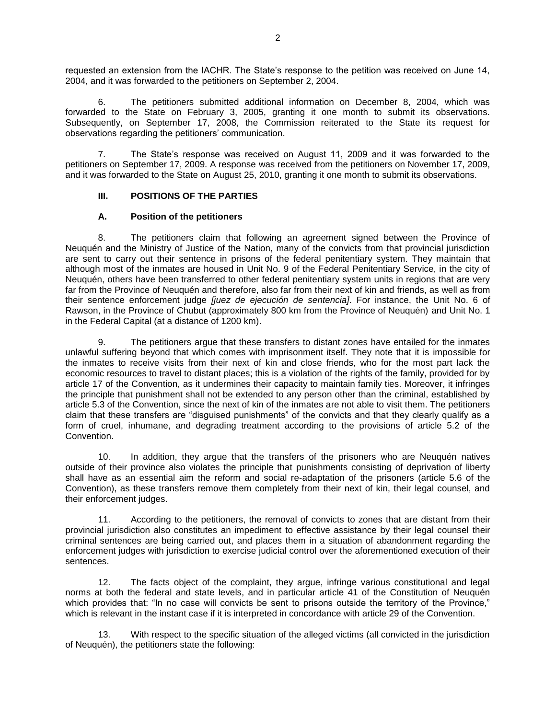requested an extension from the IACHR. The State's response to the petition was received on June 14, 2004, and it was forwarded to the petitioners on September 2, 2004.

6. The petitioners submitted additional information on December 8, 2004, which was forwarded to the State on February 3, 2005, granting it one month to submit its observations. Subsequently, on September 17, 2008, the Commission reiterated to the State its request for observations regarding the petitioners' communication.

7. The State's response was received on August 11, 2009 and it was forwarded to the petitioners on September 17, 2009. A response was received from the petitioners on November 17, 2009, and it was forwarded to the State on August 25, 2010, granting it one month to submit its observations.

#### **III. POSITIONS OF THE PARTIES**

#### **A. Position of the petitioners**

8. The petitioners claim that following an agreement signed between the Province of Neuquén and the Ministry of Justice of the Nation, many of the convicts from that provincial jurisdiction are sent to carry out their sentence in prisons of the federal penitentiary system. They maintain that although most of the inmates are housed in Unit No. 9 of the Federal Penitentiary Service, in the city of Neuquén, others have been transferred to other federal penitentiary system units in regions that are very far from the Province of Neuquén and therefore, also far from their next of kin and friends, as well as from their sentence enforcement judge *[juez de ejecución de sentencia]*. For instance, the Unit No. 6 of Rawson, in the Province of Chubut (approximately 800 km from the Province of Neuquén) and Unit No. 1 in the Federal Capital (at a distance of 1200 km).

9. The petitioners argue that these transfers to distant zones have entailed for the inmates unlawful suffering beyond that which comes with imprisonment itself. They note that it is impossible for the inmates to receive visits from their next of kin and close friends, who for the most part lack the economic resources to travel to distant places; this is a violation of the rights of the family, provided for by article 17 of the Convention, as it undermines their capacity to maintain family ties. Moreover, it infringes the principle that punishment shall not be extended to any person other than the criminal, established by article 5.3 of the Convention, since the next of kin of the inmates are not able to visit them. The petitioners claim that these transfers are "disguised punishments" of the convicts and that they clearly qualify as a form of cruel, inhumane, and degrading treatment according to the provisions of article 5.2 of the Convention.

10. In addition, they argue that the transfers of the prisoners who are Neuquén natives outside of their province also violates the principle that punishments consisting of deprivation of liberty shall have as an essential aim the reform and social re-adaptation of the prisoners (article 5.6 of the Convention), as these transfers remove them completely from their next of kin, their legal counsel, and their enforcement judges.

11. According to the petitioners, the removal of convicts to zones that are distant from their provincial jurisdiction also constitutes an impediment to effective assistance by their legal counsel their criminal sentences are being carried out, and places them in a situation of abandonment regarding the enforcement judges with jurisdiction to exercise judicial control over the aforementioned execution of their sentences.

12. The facts object of the complaint, they argue, infringe various constitutional and legal norms at both the federal and state levels, and in particular article 41 of the Constitution of Neuquén which provides that: "In no case will convicts be sent to prisons outside the territory of the Province," which is relevant in the instant case if it is interpreted in concordance with article 29 of the Convention.

13. With respect to the specific situation of the alleged victims (all convicted in the jurisdiction of Neuquén), the petitioners state the following: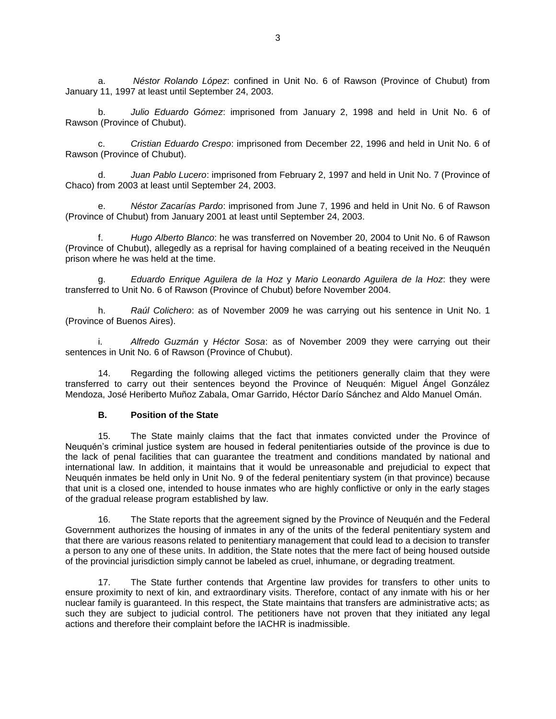a. *Néstor Rolando López*: confined in Unit No. 6 of Rawson (Province of Chubut) from January 11, 1997 at least until September 24, 2003.

b. *Julio Eduardo Gómez*: imprisoned from January 2, 1998 and held in Unit No. 6 of Rawson (Province of Chubut).

c. *Cristian Eduardo Crespo*: imprisoned from December 22, 1996 and held in Unit No. 6 of Rawson (Province of Chubut).

d. *Juan Pablo Lucero*: imprisoned from February 2, 1997 and held in Unit No. 7 (Province of Chaco) from 2003 at least until September 24, 2003.

e. *Néstor Zacarías Pardo*: imprisoned from June 7, 1996 and held in Unit No. 6 of Rawson (Province of Chubut) from January 2001 at least until September 24, 2003.

f. *Hugo Alberto Blanco*: he was transferred on November 20, 2004 to Unit No. 6 of Rawson (Province of Chubut), allegedly as a reprisal for having complained of a beating received in the Neuquén prison where he was held at the time.

g. *Eduardo Enrique Aguilera de la Hoz* y *Mario Leonardo Aguilera de la Hoz*: they were transferred to Unit No. 6 of Rawson (Province of Chubut) before November 2004.

h. *Raúl Colichero*: as of November 2009 he was carrying out his sentence in Unit No. 1 (Province of Buenos Aires).

i. *Alfredo Guzmán* y *Héctor Sosa*: as of November 2009 they were carrying out their sentences in Unit No. 6 of Rawson (Province of Chubut).

14. Regarding the following alleged victims the petitioners generally claim that they were transferred to carry out their sentences beyond the Province of Neuquén: Miguel Ángel González Mendoza, José Heriberto Muñoz Zabala, Omar Garrido, Héctor Darío Sánchez and Aldo Manuel Omán.

#### **B. Position of the State**

15. The State mainly claims that the fact that inmates convicted under the Province of Neuquén's criminal justice system are housed in federal penitentiaries outside of the province is due to the lack of penal facilities that can guarantee the treatment and conditions mandated by national and international law. In addition, it maintains that it would be unreasonable and prejudicial to expect that Neuquén inmates be held only in Unit No. 9 of the federal penitentiary system (in that province) because that unit is a closed one, intended to house inmates who are highly conflictive or only in the early stages of the gradual release program established by law.

16. The State reports that the agreement signed by the Province of Neuquén and the Federal Government authorizes the housing of inmates in any of the units of the federal penitentiary system and that there are various reasons related to penitentiary management that could lead to a decision to transfer a person to any one of these units. In addition, the State notes that the mere fact of being housed outside of the provincial jurisdiction simply cannot be labeled as cruel, inhumane, or degrading treatment.

17. The State further contends that Argentine law provides for transfers to other units to ensure proximity to next of kin, and extraordinary visits. Therefore, contact of any inmate with his or her nuclear family is guaranteed. In this respect, the State maintains that transfers are administrative acts; as such they are subject to judicial control. The petitioners have not proven that they initiated any legal actions and therefore their complaint before the IACHR is inadmissible.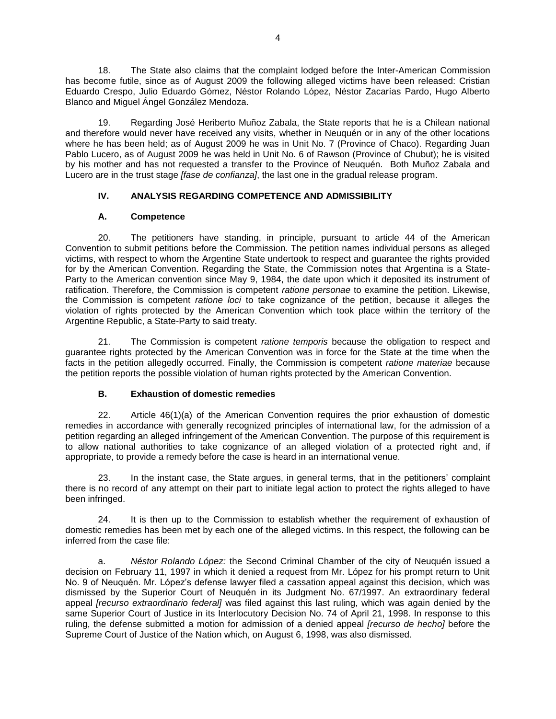18. The State also claims that the complaint lodged before the Inter-American Commission has become futile, since as of August 2009 the following alleged victims have been released: Cristian Eduardo Crespo, Julio Eduardo Gómez, Néstor Rolando López, Néstor Zacarías Pardo, Hugo Alberto Blanco and Miguel Ángel González Mendoza.

19. Regarding José Heriberto Muñoz Zabala, the State reports that he is a Chilean national and therefore would never have received any visits, whether in Neuquén or in any of the other locations where he has been held; as of August 2009 he was in Unit No. 7 (Province of Chaco). Regarding Juan Pablo Lucero, as of August 2009 he was held in Unit No. 6 of Rawson (Province of Chubut); he is visited by his mother and has not requested a transfer to the Province of Neuquén. Both Muñoz Zabala and Lucero are in the trust stage *[fase de confianza]*, the last one in the gradual release program.

# **IV. ANALYSIS REGARDING COMPETENCE AND ADMISSIBILITY**

# **A. Competence**

20. The petitioners have standing, in principle, pursuant to article 44 of the American Convention to submit petitions before the Commission. The petition names individual persons as alleged victims, with respect to whom the Argentine State undertook to respect and guarantee the rights provided for by the American Convention. Regarding the State, the Commission notes that Argentina is a State-Party to the American convention since May 9, 1984, the date upon which it deposited its instrument of ratification. Therefore, the Commission is competent *ratione personae* to examine the petition. Likewise, the Commission is competent *ratione loci* to take cognizance of the petition, because it alleges the violation of rights protected by the American Convention which took place within the territory of the Argentine Republic, a State-Party to said treaty.

21. The Commission is competent *ratione temporis* because the obligation to respect and guarantee rights protected by the American Convention was in force for the State at the time when the facts in the petition allegedly occurred. Finally, the Commission is competent *ratione materiae* because the petition reports the possible violation of human rights protected by the American Convention.

## **B. Exhaustion of domestic remedies**

22. Article 46(1)(a) of the American Convention requires the prior exhaustion of domestic remedies in accordance with generally recognized principles of international law, for the admission of a petition regarding an alleged infringement of the American Convention. The purpose of this requirement is to allow national authorities to take cognizance of an alleged violation of a protected right and, if appropriate, to provide a remedy before the case is heard in an international venue.

23. In the instant case, the State argues, in general terms, that in the petitioners' complaint there is no record of any attempt on their part to initiate legal action to protect the rights alleged to have been infringed.

24. It is then up to the Commission to establish whether the requirement of exhaustion of domestic remedies has been met by each one of the alleged victims. In this respect, the following can be inferred from the case file:

a. *Néstor Rolando López:* the Second Criminal Chamber of the city of Neuquén issued a decision on February 11, 1997 in which it denied a request from Mr. López for his prompt return to Unit No. 9 of Neuquén. Mr. López's defense lawyer filed a cassation appeal against this decision, which was dismissed by the Superior Court of Neuquén in its Judgment No. 67/1997. An extraordinary federal appeal *[recurso extraordinario federal]* was filed against this last ruling, which was again denied by the same Superior Court of Justice in its Interlocutory Decision No. 74 of April 21, 1998. In response to this ruling, the defense submitted a motion for admission of a denied appeal *[recurso de hecho]* before the Supreme Court of Justice of the Nation which, on August 6, 1998, was also dismissed.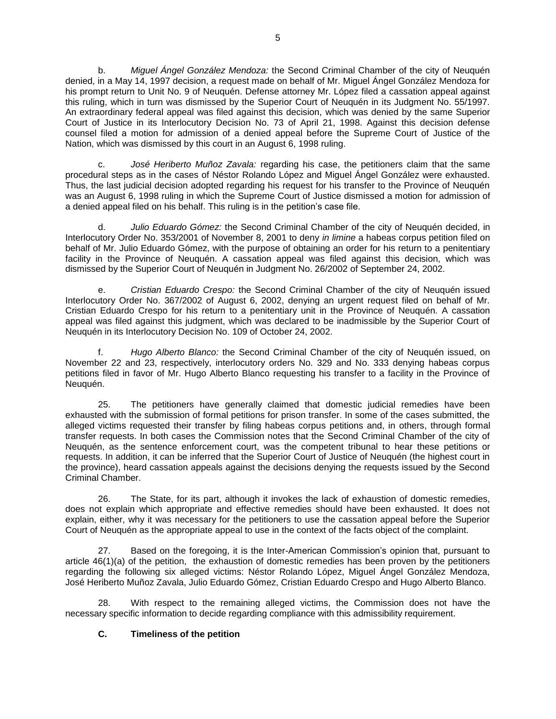b. *Miguel Ángel González Mendoza:* the Second Criminal Chamber of the city of Neuquén denied, in a May 14, 1997 decision, a request made on behalf of Mr. Miguel Ángel González Mendoza for his prompt return to Unit No. 9 of Neuquén. Defense attorney Mr. López filed a cassation appeal against this ruling, which in turn was dismissed by the Superior Court of Neuquén in its Judgment No. 55/1997. An extraordinary federal appeal was filed against this decision, which was denied by the same Superior Court of Justice in its Interlocutory Decision No. 73 of April 21, 1998. Against this decision defense counsel filed a motion for admission of a denied appeal before the Supreme Court of Justice of the Nation, which was dismissed by this court in an August 6, 1998 ruling.

c. *José Heriberto Muñoz Zavala:* regarding his case, the petitioners claim that the same procedural steps as in the cases of Néstor Rolando López and Miguel Ángel González were exhausted. Thus, the last judicial decision adopted regarding his request for his transfer to the Province of Neuquén was an August 6, 1998 ruling in which the Supreme Court of Justice dismissed a motion for admission of a denied appeal filed on his behalf. This ruling is in the petition's case file.

d. *Julio Eduardo Gómez:* the Second Criminal Chamber of the city of Neuquén decided, in Interlocutory Order No. 353/2001 of November 8, 2001 to deny *in limine* a habeas corpus petition filed on behalf of Mr. Julio Eduardo Gómez, with the purpose of obtaining an order for his return to a penitentiary facility in the Province of Neuquén. A cassation appeal was filed against this decision, which was dismissed by the Superior Court of Neuquén in Judgment No. 26/2002 of September 24, 2002.

e. *Cristian Eduardo Crespo:* the Second Criminal Chamber of the city of Neuquén issued Interlocutory Order No. 367/2002 of August 6, 2002, denying an urgent request filed on behalf of Mr. Cristian Eduardo Crespo for his return to a penitentiary unit in the Province of Neuquén. A cassation appeal was filed against this judgment, which was declared to be inadmissible by the Superior Court of Neuquén in its Interlocutory Decision No. 109 of October 24, 2002.

f. *Hugo Alberto Blanco:* the Second Criminal Chamber of the city of Neuquén issued, on November 22 and 23, respectively, interlocutory orders No. 329 and No. 333 denying habeas corpus petitions filed in favor of Mr. Hugo Alberto Blanco requesting his transfer to a facility in the Province of Neuquén.

25. The petitioners have generally claimed that domestic judicial remedies have been exhausted with the submission of formal petitions for prison transfer. In some of the cases submitted, the alleged victims requested their transfer by filing habeas corpus petitions and, in others, through formal transfer requests. In both cases the Commission notes that the Second Criminal Chamber of the city of Neuquén, as the sentence enforcement court, was the competent tribunal to hear these petitions or requests. In addition, it can be inferred that the Superior Court of Justice of Neuquén (the highest court in the province), heard cassation appeals against the decisions denying the requests issued by the Second Criminal Chamber.

26. The State, for its part, although it invokes the lack of exhaustion of domestic remedies, does not explain which appropriate and effective remedies should have been exhausted. It does not explain, either, why it was necessary for the petitioners to use the cassation appeal before the Superior Court of Neuquén as the appropriate appeal to use in the context of the facts object of the complaint.

27. Based on the foregoing, it is the Inter-American Commission's opinion that, pursuant to article 46(1)(a) of the petition, the exhaustion of domestic remedies has been proven by the petitioners regarding the following six alleged victims: Néstor Rolando López, Miguel Ángel González Mendoza, José Heriberto Muñoz Zavala, Julio Eduardo Gómez, Cristian Eduardo Crespo and Hugo Alberto Blanco.

28. With respect to the remaining alleged victims, the Commission does not have the necessary specific information to decide regarding compliance with this admissibility requirement.

# **C. Timeliness of the petition**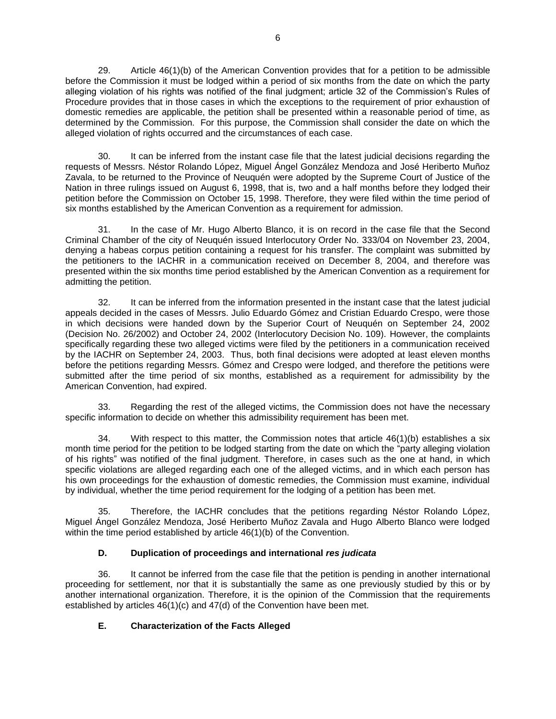29. Article 46(1)(b) of the American Convention provides that for a petition to be admissible before the Commission it must be lodged within a period of six months from the date on which the party alleging violation of his rights was notified of the final judgment; article 32 of the Commission's Rules of Procedure provides that in those cases in which the exceptions to the requirement of prior exhaustion of domestic remedies are applicable, the petition shall be presented within a reasonable period of time, as determined by the Commission. For this purpose, the Commission shall consider the date on which the alleged violation of rights occurred and the circumstances of each case.

30. It can be inferred from the instant case file that the latest judicial decisions regarding the requests of Messrs. Néstor Rolando López, Miguel Ángel González Mendoza and José Heriberto Muñoz Zavala, to be returned to the Province of Neuquén were adopted by the Supreme Court of Justice of the Nation in three rulings issued on August 6, 1998, that is, two and a half months before they lodged their petition before the Commission on October 15, 1998. Therefore, they were filed within the time period of six months established by the American Convention as a requirement for admission.

31. In the case of Mr. Hugo Alberto Blanco, it is on record in the case file that the Second Criminal Chamber of the city of Neuquén issued Interlocutory Order No. 333/04 on November 23, 2004, denying a habeas corpus petition containing a request for his transfer. The complaint was submitted by the petitioners to the IACHR in a communication received on December 8, 2004, and therefore was presented within the six months time period established by the American Convention as a requirement for admitting the petition.

32. It can be inferred from the information presented in the instant case that the latest judicial appeals decided in the cases of Messrs. Julio Eduardo Gómez and Cristian Eduardo Crespo, were those in which decisions were handed down by the Superior Court of Neuquén on September 24, 2002 (Decision No. 26/2002) and October 24, 2002 (Interlocutory Decision No. 109). However, the complaints specifically regarding these two alleged victims were filed by the petitioners in a communication received by the IACHR on September 24, 2003. Thus, both final decisions were adopted at least eleven months before the petitions regarding Messrs. Gómez and Crespo were lodged, and therefore the petitions were submitted after the time period of six months, established as a requirement for admissibility by the American Convention, had expired.

33. Regarding the rest of the alleged victims, the Commission does not have the necessary specific information to decide on whether this admissibility requirement has been met.

34. With respect to this matter, the Commission notes that article 46(1)(b) establishes a six month time period for the petition to be lodged starting from the date on which the "party alleging violation of his rights" was notified of the final judgment. Therefore, in cases such as the one at hand, in which specific violations are alleged regarding each one of the alleged victims, and in which each person has his own proceedings for the exhaustion of domestic remedies, the Commission must examine, individual by individual, whether the time period requirement for the lodging of a petition has been met.

35. Therefore, the IACHR concludes that the petitions regarding Néstor Rolando López, Miguel Ángel González Mendoza, José Heriberto Muñoz Zavala and Hugo Alberto Blanco were lodged within the time period established by article 46(1)(b) of the Convention.

## **D. Duplication of proceedings and international** *res judicata*

36. It cannot be inferred from the case file that the petition is pending in another international proceeding for settlement, nor that it is substantially the same as one previously studied by this or by another international organization. Therefore, it is the opinion of the Commission that the requirements established by articles 46(1)(c) and 47(d) of the Convention have been met.

## **E. Characterization of the Facts Alleged**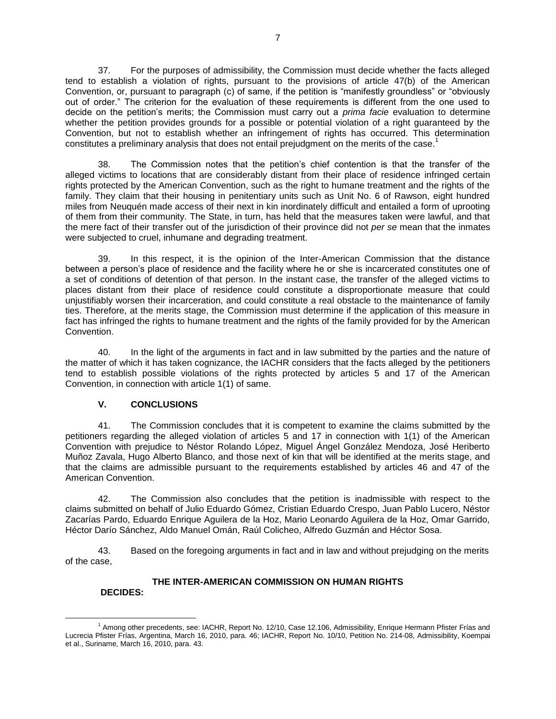37. For the purposes of admissibility, the Commission must decide whether the facts alleged tend to establish a violation of rights, pursuant to the provisions of article 47(b) of the American Convention, or, pursuant to paragraph (c) of same, if the petition is "manifestly groundless" or "obviously out of order." The criterion for the evaluation of these requirements is different from the one used to decide on the petition's merits; the Commission must carry out a *prima facie* evaluation to determine whether the petition provides grounds for a possible or potential violation of a right guaranteed by the Convention, but not to establish whether an infringement of rights has occurred. This determination constitutes a preliminary analysis that does not entail prejudgment on the merits of the case.<sup>1</sup>

38. The Commission notes that the petition's chief contention is that the transfer of the alleged victims to locations that are considerably distant from their place of residence infringed certain rights protected by the American Convention, such as the right to humane treatment and the rights of the family. They claim that their housing in penitentiary units such as Unit No. 6 of Rawson, eight hundred miles from Neuquén made access of their next in kin inordinately difficult and entailed a form of uprooting of them from their community. The State, in turn, has held that the measures taken were lawful, and that the mere fact of their transfer out of the jurisdiction of their province did not *per se* mean that the inmates were subjected to cruel, inhumane and degrading treatment.

39. In this respect, it is the opinion of the Inter-American Commission that the distance between a person's place of residence and the facility where he or she is incarcerated constitutes one of a set of conditions of detention of that person. In the instant case, the transfer of the alleged victims to places distant from their place of residence could constitute a disproportionate measure that could unjustifiably worsen their incarceration, and could constitute a real obstacle to the maintenance of family ties. Therefore, at the merits stage, the Commission must determine if the application of this measure in fact has infringed the rights to humane treatment and the rights of the family provided for by the American Convention.

40. In the light of the arguments in fact and in law submitted by the parties and the nature of the matter of which it has taken cognizance, the IACHR considers that the facts alleged by the petitioners tend to establish possible violations of the rights protected by articles 5 and 17 of the American Convention, in connection with article 1(1) of same.

## **V. CONCLUSIONS**

41. The Commission concludes that it is competent to examine the claims submitted by the petitioners regarding the alleged violation of articles 5 and 17 in connection with 1(1) of the American Convention with prejudice to Néstor Rolando López, Miguel Ángel González Mendoza, José Heriberto Muñoz Zavala, Hugo Alberto Blanco, and those next of kin that will be identified at the merits stage, and that the claims are admissible pursuant to the requirements established by articles 46 and 47 of the American Convention.

42. The Commission also concludes that the petition is inadmissible with respect to the claims submitted on behalf of Julio Eduardo Gómez, Cristian Eduardo Crespo, Juan Pablo Lucero, Néstor Zacarías Pardo, Eduardo Enrique Aguilera de la Hoz, Mario Leonardo Aguilera de la Hoz, Omar Garrido, Héctor Darío Sánchez, Aldo Manuel Omán, Raúl Colicheo, Alfredo Guzmán and Héctor Sosa.

43. Based on the foregoing arguments in fact and in law and without prejudging on the merits of the case,

## **THE INTER-AMERICAN COMMISSION ON HUMAN RIGHTS**

#### **DECIDES:**

 $\overline{a}$ <sup>1</sup> Among other precedents, see: IACHR, Report No. 12/10, Case 12.106, Admissibility, Enrique Hermann Pfister Frías and Lucrecia Pfister Frías, Argentina, March 16, 2010, para. 46; IACHR, Report No. 10/10, Petition No. 214-08, Admissibility, Koempai et al., Suriname, March 16, 2010, para. 43.